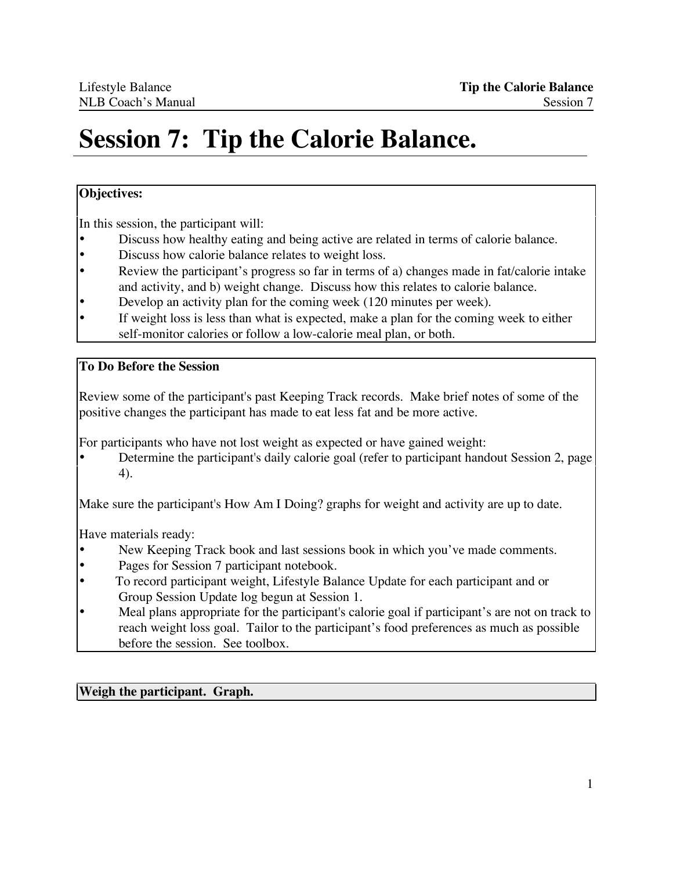# **Session 7: Tip the Calorie Balance.**

## **Objectives:**

In this session, the participant will:

- Discuss how healthy eating and being active are related in terms of calorie balance.<br>• Discuss how calorie balance relates to weight loss
- Discuss how calorie balance relates to weight loss.
- Review the participant's progress so far in terms of a) changes made in fat/calorie intake and activity, and b) weight change. Discuss how this relates to calorie balance.
- Develop an activity plan for the coming week (120 minutes per week).
- If weight loss is less than what is expected, make a plan for the coming week to either self-monitor calories or follow a low-calorie meal plan, or both.

## **To Do Before the Session**

Review some of the participant's past Keeping Track records. Make brief notes of some of the positive changes the participant has made to eat less fat and be more active.

For participants who have not lost weight as expected or have gained weight:

• Determine the participant's daily calorie goal (refer to participant handout Session 2, page 4).

Make sure the participant's How Am I Doing? graphs for weight and activity are up to date.

Have materials ready:

- New Keeping Track book and last sessions book in which you've made comments.
- Pages for Session 7 participant notebook.
- To record participant weight, Lifestyle Balance Update for each participant and or Group Session Update log begun at Session 1.
- Meal plans appropriate for the participant's calorie goal if participant's are not on track to reach weight loss goal. Tailor to the participant's food preferences as much as possible before the session. See toolbox.

**Weigh the participant. Graph.**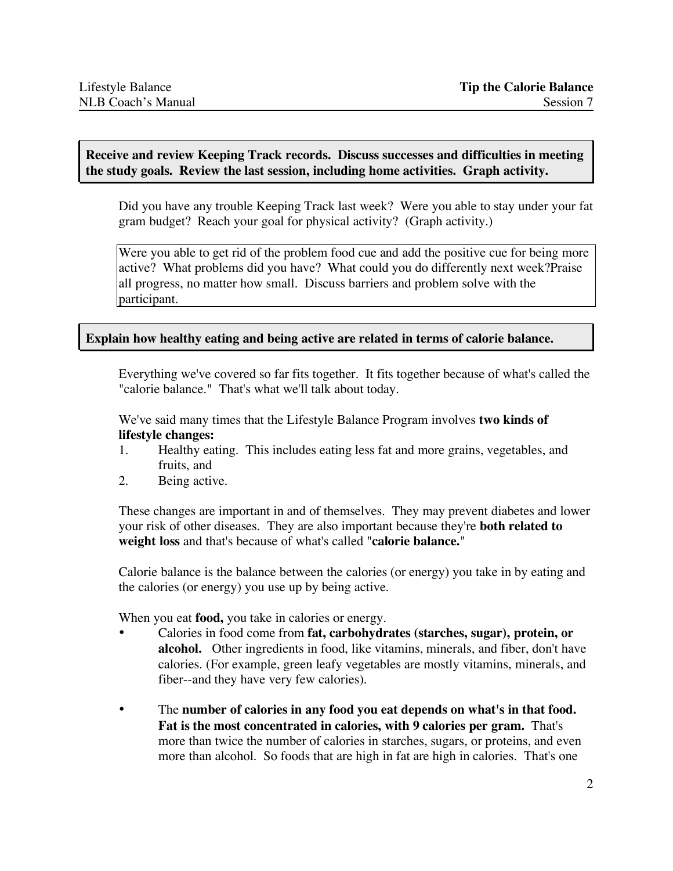#### **Receive and review Keeping Track records. Discuss successes and difficulties in meeting the study goals. Review the last session, including home activities. Graph activity.**

Did you have any trouble Keeping Track last week? Were you able to stay under your fat gram budget? Reach your goal for physical activity? (Graph activity.)

Were you able to get rid of the problem food cue and add the positive cue for being more active? What problems did you have? What could you do differently next week?Praise all progress, no matter how small. Discuss barriers and problem solve with the participant.

#### **Explain how healthy eating and being active are related in terms of calorie balance.**

Everything we've covered so far fits together. It fits together because of what's called the "calorie balance." That's what we'll talk about today.

We've said many times that the Lifestyle Balance Program involves **two kinds of lifestyle changes:**

- 1. Healthy eating. This includes eating less fat and more grains, vegetables, and fruits, and
- 2. Being active.

These changes are important in and of themselves. They may prevent diabetes and lower your risk of other diseases. They are also important because they're **both related to weight loss** and that's because of what's called "**calorie balance.**"

Calorie balance is the balance between the calories (or energy) you take in by eating and the calories (or energy) you use up by being active.

When you eat **food,** you take in calories or energy.

- Calories in food come from **fat, carbohydrates (starches, sugar), protein, or alcohol.** Other ingredients in food, like vitamins, minerals, and fiber, don't have calories. (For example, green leafy vegetables are mostly vitamins, minerals, and fiber--and they have very few calories).
- The **number of calories in any food you eat depends on what's in that food. Fat is the most concentrated in calories, with 9 calories per gram.** That's more than twice the number of calories in starches, sugars, or proteins, and even more than alcohol. So foods that are high in fat are high in calories. That's one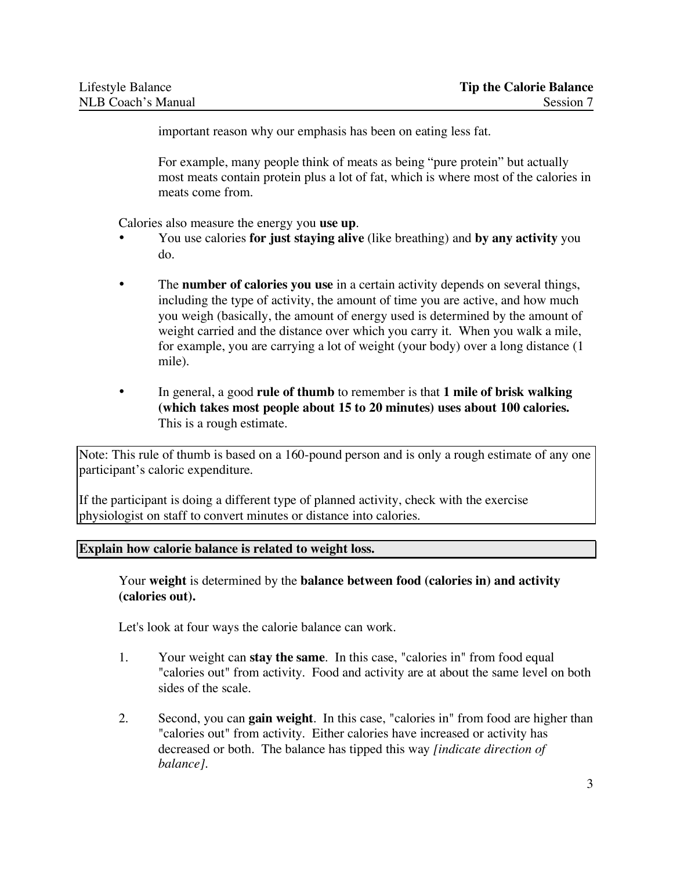important reason why our emphasis has been on eating less fat.

For example, many people think of meats as being "pure protein" but actually most meats contain protein plus a lot of fat, which is where most of the calories in meats come from.

Calories also measure the energy you **use up**.

- You use calories **for just staying alive** (like breathing) and **by any activity** you do.
- The **number of calories you use** in a certain activity depends on several things, including the type of activity, the amount of time you are active, and how much you weigh (basically, the amount of energy used is determined by the amount of weight carried and the distance over which you carry it. When you walk a mile, for example, you are carrying a lot of weight (your body) over a long distance (1 mile).
- In general, a good **rule of thumb** to remember is that **1 mile of brisk walking (which takes most people about 15 to 20 minutes) uses about 100 calories.** This is a rough estimate.

Note: This rule of thumb is based on a 160-pound person and is only a rough estimate of any one participant's caloric expenditure.

If the participant is doing a different type of planned activity, check with the exercise physiologist on staff to convert minutes or distance into calories.

#### **Explain how calorie balance is related to weight loss.**

Your **weight** is determined by the **balance between food (calories in) and activity (calories out).**

Let's look at four ways the calorie balance can work.

- 1. Your weight can **stay the same**. In this case, "calories in" from food equal "calories out" from activity. Food and activity are at about the same level on both sides of the scale.
- 2. Second, you can **gain weight**. In this case, "calories in" from food are higher than "calories out" from activity. Either calories have increased or activity has decreased or both. The balance has tipped this way *[indicate direction of balance]*.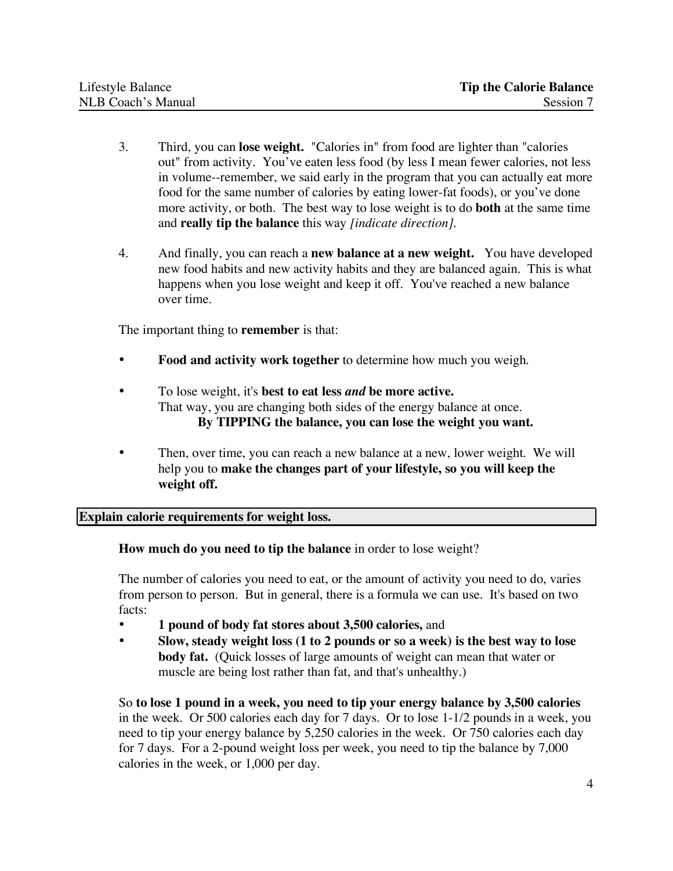- 3. Third, you can **lose weight.** "Calories in" from food are lighter than "calories out" from activity. You've eaten less food (by less I mean fewer calories, not less in volume--remember, we said early in the program that you can actually eat more food for the same number of calories by eating lower-fat foods), or you've done more activity, or both. The best way to lose weight is to do **both** at the same time and **really tip the balance** this way *[indicate direction].*
- 4. And finally, you can reach a **new balance at a new weight.** You have developed new food habits and new activity habits and they are balanced again. This is what happens when you lose weight and keep it off. You've reached a new balance over time.

The important thing to **remember** is that:

- **Food and activity work together** to determine how much you weigh.
- To lose weight, it's **best to eat less** *and* **be more active.** That way, you are changing both sides of the energy balance at once. **By TIPPING the balance, you can lose the weight you want.**
- Then, over time, you can reach a new balance at a new, lower weight. We will help you to **make the changes part of your lifestyle, so you will keep the weight off.**

**Explain calorie requirements for weight loss.**

**How much do you need to tip the balance** in order to lose weight?

The number of calories you need to eat, or the amount of activity you need to do, varies from person to person. But in general, there is a formula we can use. It's based on two facts:

- **1 pound of body fat stores about 3,500 calories,** and
- **Slow, steady weight loss (1 to 2 pounds or so a week) is the best way to lose body fat.** (Quick losses of large amounts of weight can mean that water or muscle are being lost rather than fat, and that's unhealthy.)

So **to lose 1 pound in a week, you need to tip your energy balance by 3,500 calories** in the week. Or 500 calories each day for 7 days. Or to lose 1-1/2 pounds in a week, you need to tip your energy balance by 5,250 calories in the week. Or 750 calories each day for 7 days. For a 2-pound weight loss per week, you need to tip the balance by 7,000 calories in the week, or 1,000 per day.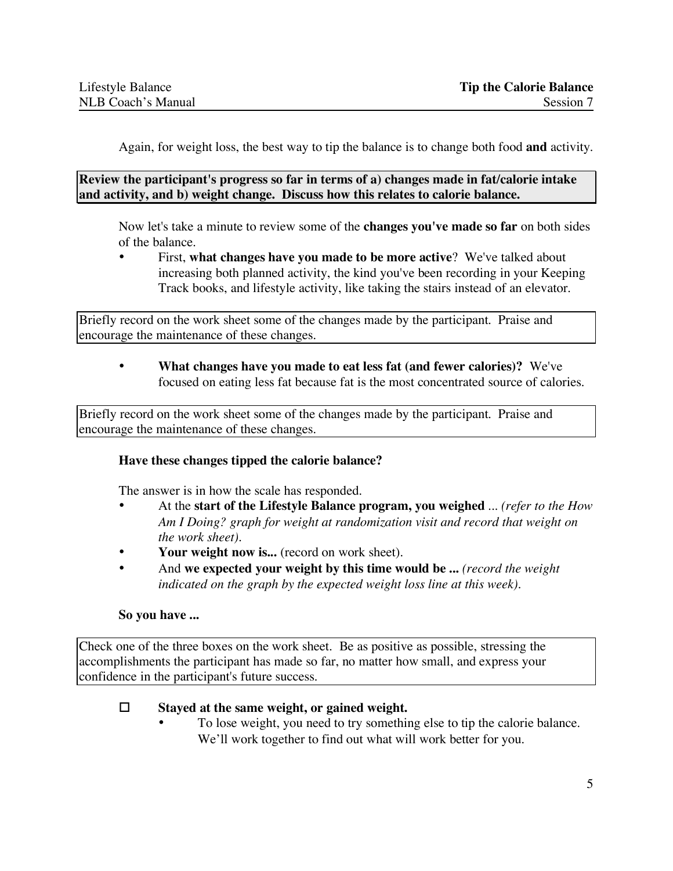Again, for weight loss, the best way to tip the balance is to change both food **and** activity.

**Review the participant's progress so far in terms of a) changes made in fat/calorie intake and activity, and b) weight change. Discuss how this relates to calorie balance.**

Now let's take a minute to review some of the **changes you've made so far** on both sides of the balance.

• First, **what changes have you made to be more active**? We've talked about increasing both planned activity, the kind you've been recording in your Keeping Track books, and lifestyle activity, like taking the stairs instead of an elevator.

Briefly record on the work sheet some of the changes made by the participant. Praise and encourage the maintenance of these changes.

• **What changes have you made to eat less fat (and fewer calories)?** We've focused on eating less fat because fat is the most concentrated source of calories.

Briefly record on the work sheet some of the changes made by the participant. Praise and encourage the maintenance of these changes.

#### **Have these changes tipped the calorie balance?**

The answer is in how the scale has responded.

- At the **start of the Lifestyle Balance program, you weighed** ... *(refer to the How Am I Doing? graph for weight at randomization visit and record that weight on the work sheet).*
- **Your weight now is...** (record on work sheet).
- And **we expected your weight by this time would be ...** *(record the weight indicated on the graph by the expected weight loss line at this week).*

#### **So you have ...**

Check one of the three boxes on the work sheet. Be as positive as possible, stressing the accomplishments the participant has made so far, no matter how small, and express your confidence in the participant's future success.

#### **Stayed at the same weight, or gained weight.**

• To lose weight, you need to try something else to tip the calorie balance. We'll work together to find out what will work better for you.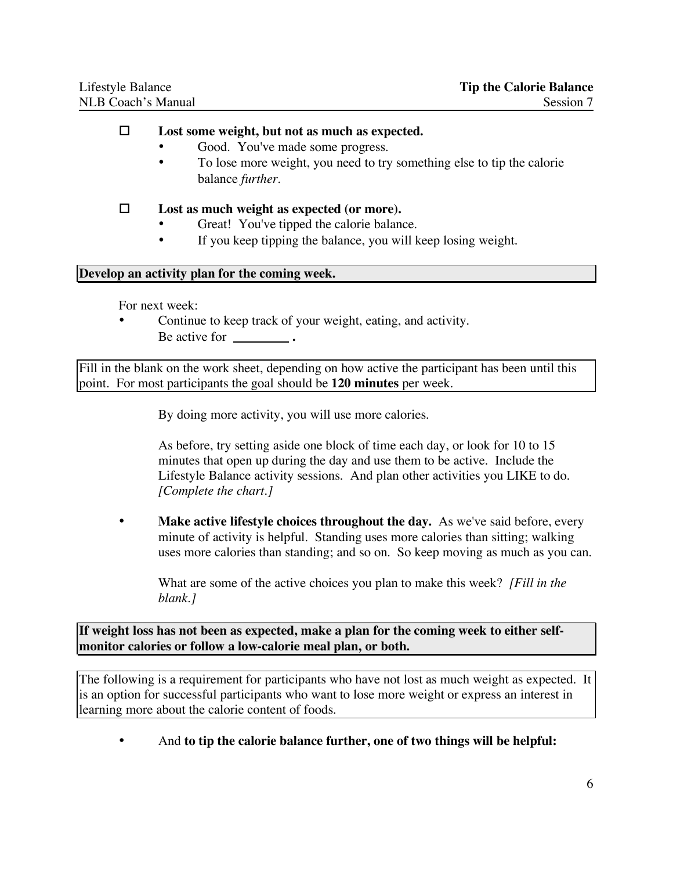#### **Lost some weight, but not as much as expected.**

- Good. You've made some progress.
- To lose more weight, you need to try something else to tip the calorie balance *further.*

#### **Lost as much weight as expected (or more).**

- Great! You've tipped the calorie balance.
- If you keep tipping the balance, you will keep losing weight.

#### **Develop an activity plan for the coming week.**

For next week:

Continue to keep track of your weight, eating, and activity. Be active for **.**

Fill in the blank on the work sheet, depending on how active the participant has been until this point. For most participants the goal should be **120 minutes** per week.

By doing more activity, you will use more calories.

As before, try setting aside one block of time each day, or look for 10 to 15 minutes that open up during the day and use them to be active. Include the Lifestyle Balance activity sessions. And plan other activities you LIKE to do. *[Complete the chart.]*

• **Make active lifestyle choices throughout the day.** As we've said before, every minute of activity is helpful. Standing uses more calories than sitting; walking uses more calories than standing; and so on. So keep moving as much as you can.

What are some of the active choices you plan to make this week? *[Fill in the blank.]*

**If weight loss has not been as expected, make a plan for the coming week to either selfmonitor calories or follow a low-calorie meal plan, or both.**

The following is a requirement for participants who have not lost as much weight as expected. It is an option for successful participants who want to lose more weight or express an interest in learning more about the calorie content of foods.

• And **to tip the calorie balance further, one of two things will be helpful:**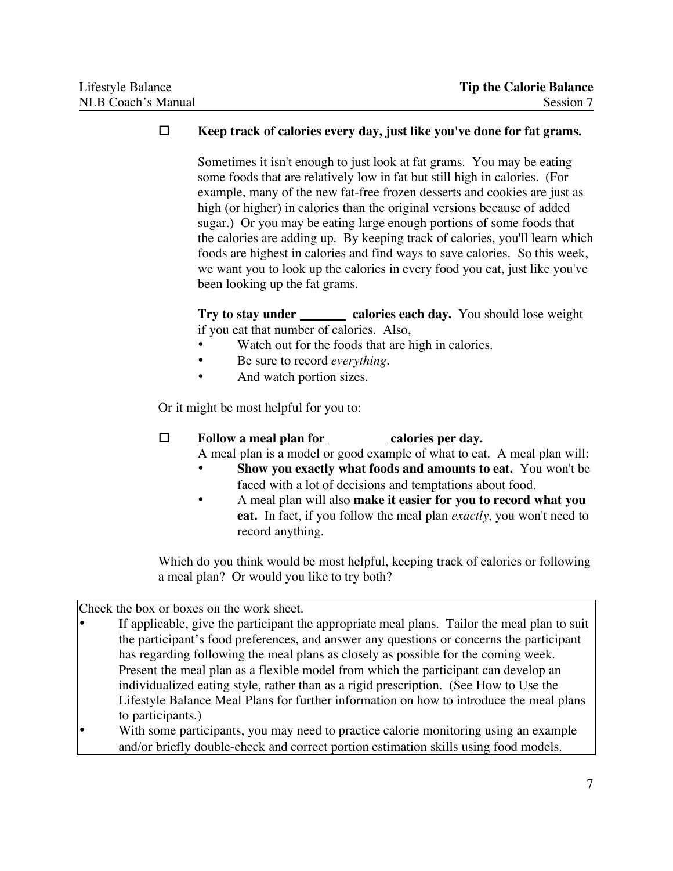#### **Keep track of calories every day, just like you've done for fat grams.**

Sometimes it isn't enough to just look at fat grams. You may be eating some foods that are relatively low in fat but still high in calories. (For example, many of the new fat-free frozen desserts and cookies are just as high (or higher) in calories than the original versions because of added sugar.) Or you may be eating large enough portions of some foods that the calories are adding up. By keeping track of calories, you'll learn which foods are highest in calories and find ways to save calories. So this week, we want you to look up the calories in every food you eat, just like you've been looking up the fat grams.

**Try to stay under calories each day.** You should lose weight if you eat that number of calories. Also,

- Watch out for the foods that are high in calories.
- Be sure to record *everything.*
- And watch portion sizes.

Or it might be most helpful for you to:

## **Follow a meal plan for calories per day.**

A meal plan is a model or good example of what to eat. A meal plan will:

- **Show you exactly what foods and amounts to eat.** You won't be faced with a lot of decisions and temptations about food.
- A meal plan will also **make it easier for you to record what you eat.** In fact, if you follow the meal plan *exactly*, you won't need to record anything.

Which do you think would be most helpful, keeping track of calories or following a meal plan? Or would you like to try both?

Check the box or boxes on the work sheet.

- If applicable, give the participant the appropriate meal plans. Tailor the meal plan to suit the participant's food preferences, and answer any questions or concerns the participant has regarding following the meal plans as closely as possible for the coming week. Present the meal plan as a flexible model from which the participant can develop an individualized eating style, rather than as a rigid prescription. (See How to Use the Lifestyle Balance Meal Plans for further information on how to introduce the meal plans to participants.)
- With some participants, you may need to practice calorie monitoring using an example and/or briefly double-check and correct portion estimation skills using food models.